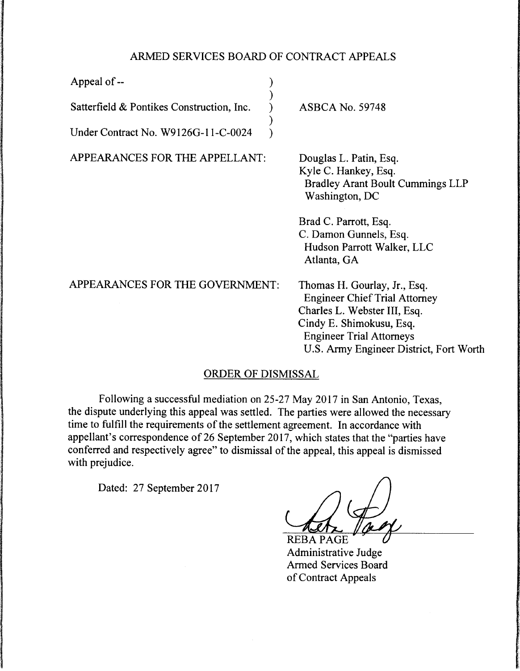## ARMED SERVICES BOARD OF CONTRACT APPEALS

)

)

Appeal of -- ) Satterfield & Pontikes Construction, Inc.

Under Contract No. W9126G-11-C-0024 )

APPEARANCES FOR THE APPELLANT:

ASBCA No. 59748

Douglas L. Patin, Esq. Kyle C. Hankey, Esq. Bradley Arant Boult Cummings LLP Washington, DC

Brad C. Parrott, Esq. C. Damon Gunnels, Esq. Hudson Parrott Walker, LLC Atlanta, GA

APPEARANCES FOR THE GOVERNMENT: Thomas H. Gourlay, Jr., Esq. Engineer Chief Trial Attorney Charles L. Webster III, Esq. Cindy E. Shimokusu, Esq. Engineer Trial Attorneys U.S. Army Engineer District, Fort Worth

## ORDER OF DISMISSAL

Following a successful mediation on 25-27 May 2017 in San Antonio, Texas, the dispute underlying this appeal was settled. The parties were allowed the necessary time to fulfill the requirements of the settlement agreement. In accordance with appellant's correspondence of 26 September 2017, which states that the "parties have conferred and respectively agree" to dismissal of the appeal, this appeal is dismissed with prejudice.

Dated: 27 September 2017

**REBA PAGE** 

Administrative Judge Armed Services Board of Contract Appeals